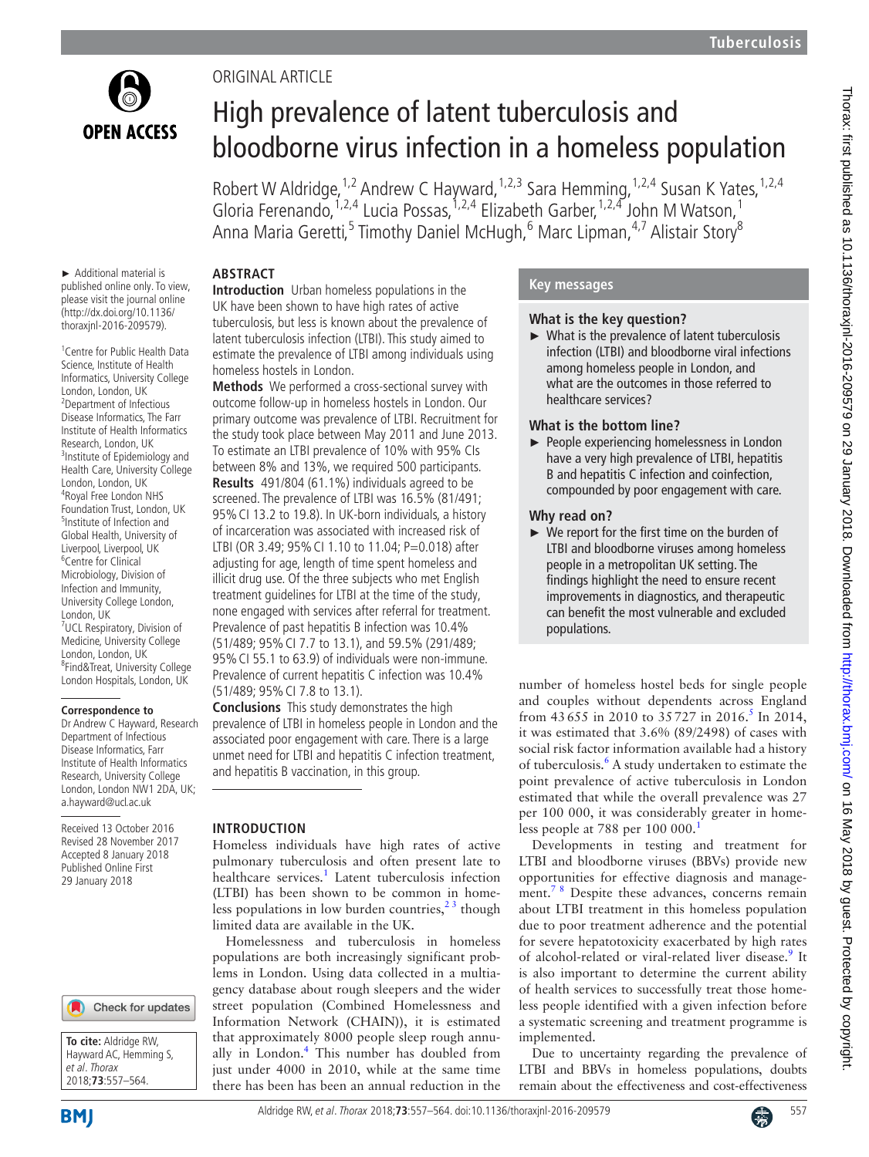

# Original article

# High prevalence of latent tuberculosis and bloodborne virus infection in a homeless population

Robert W Aldridge,<sup>1,2</sup> Andrew C Hayward,<sup>1,2,3</sup> Sara Hemming,<sup>1,2,4</sup> Susan K Yates,<sup>1,2,4</sup> Gloria Ferenando,<sup>1,2,4</sup> Lucia Possas,<sup>1,2,4</sup> Elizabeth Garber,<sup>1,2,4</sup> John M Watson,<sup>1</sup> Anna Maria Geretti,<sup>5</sup> Timothy Daniel McHugh,<sup>6</sup> Marc Lipman,<sup>4,7</sup> Alistair Story<sup>8</sup>

► Additional material is published online only. To view, please visit the journal online (http://dx.doi.org/10.1136/ thoraxjnl-2016-209579).

1 Centre for Public Health Data Science, Institute of Health Informatics, University College London, London, UK <sup>2</sup> <sup>2</sup>Department of Infectious Disease Informatics, The Farr Institute of Health Informatics Research, London, UK <sup>3</sup> <sup>3</sup>Institute of Epidemiology and Health Care, University College London, London, UK <sup>4</sup> <sup>4</sup>Royal Free London NHS Foundation Trust, London, UK <sup>5</sup> <sup>5</sup>Institute of Infection and Global Health, University of Liverpool, Liverpool, UK <sup>6</sup> <sup>6</sup>Centre for Clinical Microbiology, Division of Infection and Immunity, University College London, London, UK <sup>7</sup>UCL Respiratory, Division of Medicine, University College London, London, UK <sup>8</sup> <sup>8</sup>Find&Treat, University College London Hospitals, London, UK

#### **Correspondence to**

Dr Andrew C Hayward, Research Department of Infectious Disease Informatics, Farr Institute of Health Informatics Research, University College London, London NW1 2DA, UK; a.hayward@ucl.ac.uk

Received 13 October 2016 Revised 28 November 2017 Accepted 8 January 2018 Published Online First 29 January 2018



**To cite:** Aldridge RW, Hayward AC, Hemming S, et al. Thorax 2018;**73**:557–564.

# **Abstract**

**Introduction** Urban homeless populations in the UK have been shown to have high rates of active tuberculosis, but less is known about the prevalence of latent tuberculosis infection (LTBI). This study aimed to estimate the prevalence of LTBI among individuals using homeless hostels in London.

**Methods** We performed a cross-sectional survey with outcome follow-up in homeless hostels in London. Our primary outcome was prevalence of LTBI. Recruitment for the study took place between May 2011 and June 2013. To estimate an LTBI prevalence of 10% with 95% CIs between 8% and 13%, we required 500 participants. **Results** 491/804 (61.1%) individuals agreed to be screened. The prevalence of LTBI was 16.5% (81/491; 95% CI 13.2 to 19.8). In UK-born individuals, a history of incarceration was associated with increased risk of LTBI (OR 3.49; 95% CI 1.10 to 11.04; P=0.018) after adjusting for age, length of time spent homeless and illicit drug use. Of the three subjects who met English treatment guidelines for LTBI at the time of the study, none engaged with services after referral for treatment. Prevalence of past hepatitis B infection was 10.4% (51/489; 95% CI 7.7 to 13.1), and 59.5% (291/489; 95% CI 55.1 to 63.9) of individuals were non-immune. Prevalence of current hepatitis C infection was 10.4% (51/489; 95% CI 7.8 to 13.1).

**Conclusions** This study demonstrates the high prevalence of LTBI in homeless people in London and the associated poor engagement with care. There is a large unmet need for LTBI and hepatitis C infection treatment, and hepatitis B vaccination, in this group.

## **Introduction**

Homeless individuals have high rates of active pulmonary tuberculosis and often present late to healthcare services.<sup>[1](#page-7-0)</sup> Latent tuberculosis infection (LTBI) has been shown to be common in homeless populations in low burden countries,  $2^3$  though limited data are available in the UK.

Homelessness and tuberculosis in homeless populations are both increasingly significant problems in London. Using data collected in a multiagency database about rough sleepers and the wider street population (Combined Homelessness and Information Network (CHAIN)), it is estimated that approximately 8000 people sleep rough annu-ally in London.<sup>[4](#page-7-2)</sup> This number has doubled from just under 4000 in 2010, while at the same time there has been has been an annual reduction in the

# **Key messages**

# **What is the key question?**

► What is the prevalence of latent tuberculosis infection (LTBI) and bloodborne viral infections among homeless people in London, and what are the outcomes in those referred to healthcare services?

# **What is the bottom line?**

► People experiencing homelessness in London have a very high prevalence of LTBI, hepatitis B and hepatitis C infection and coinfection, compounded by poor engagement with care.

# **Why read on?**

► We report for the first time on the burden of LTBI and bloodborne viruses among homeless people in a metropolitan UK setting. The findings highlight the need to ensure recent improvements in diagnostics, and therapeutic can benefit the most vulnerable and excluded populations.

number of homeless hostel beds for single people and couples without dependents across England from 43 6[5](#page-7-3)5 in 2010 to 35 727 in 2016.<sup>5</sup> In 2014, it was estimated that 3.6% (89/2498) of cases with social risk factor information available had a history of tuberculosis.<sup>6</sup> A study undertaken to estimate the point prevalence of active tuberculosis in London estimated that while the overall prevalence was 27 per 100 000, it was considerably greater in homeless people at 788 per  $100000$  $100000$ .<sup>1</sup>

Developments in testing and treatment for LTBI and bloodborne viruses (BBVs) provide new opportunities for effective diagnosis and management.<sup>78</sup> Despite these advances, concerns remain about LTBI treatment in this homeless population due to poor treatment adherence and the potential for severe hepatotoxicity exacerbated by high rates of alcohol-related or viral-related liver disease.<sup>9</sup> It is also important to determine the current ability of health services to successfully treat those homeless people identified with a given infection before a systematic screening and treatment programme is implemented.

Due to uncertainty regarding the prevalence of LTBI and BBVs in homeless populations, doubts remain about the effectiveness and cost-effectiveness

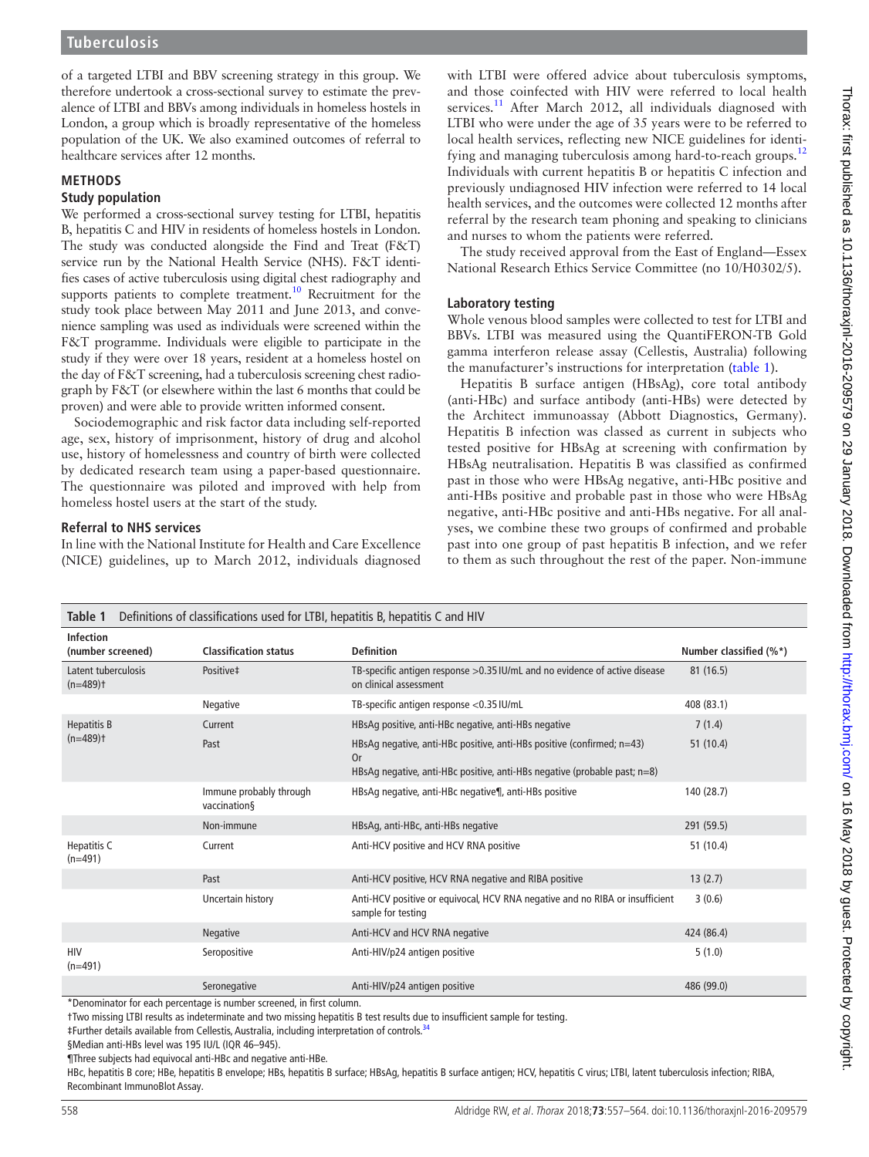of a targeted LTBI and BBV screening strategy in this group. We therefore undertook a cross-sectional survey to estimate the prevalence of LTBI and BBVs among individuals in homeless hostels in London, a group which is broadly representative of the homeless population of the UK. We also examined outcomes of referral to healthcare services after 12 months.

#### **Methods**

### **Study population**

We performed a cross-sectional survey testing for LTBI, hepatitis B, hepatitis C and HIV in residents of homeless hostels in London. The study was conducted alongside the Find and Treat (F&T) service run by the National Health Service (NHS). F&T identifies cases of active tuberculosis using digital chest radiography and supports patients to complete treatment.<sup>10</sup> Recruitment for the study took place between May 2011 and June 2013, and convenience sampling was used as individuals were screened within the F&T programme. Individuals were eligible to participate in the study if they were over 18 years, resident at a homeless hostel on the day of F&T screening, had a tuberculosis screening chest radiograph by F&T (or elsewhere within the last 6 months that could be proven) and were able to provide written informed consent.

Sociodemographic and risk factor data including self-reported age, sex, history of imprisonment, history of drug and alcohol use, history of homelessness and country of birth were collected by dedicated research team using a paper-based questionnaire. The questionnaire was piloted and improved with help from homeless hostel users at the start of the study.

#### **Referral to NHS services**

In line with the National Institute for Health and Care Excellence (NICE) guidelines, up to March 2012, individuals diagnosed

with LTBI were offered advice about tuberculosis symptoms, and those coinfected with HIV were referred to local health services.<sup>[11](#page-7-8)</sup> After March 2012, all individuals diagnosed with LTBI who were under the age of 35 years were to be referred to local health services, reflecting new NICE guidelines for identi-fying and managing tuberculosis among hard-to-reach groups.<sup>[12](#page-7-9)</sup> Individuals with current hepatitis B or hepatitis C infection and previously undiagnosed HIV infection were referred to 14 local health services, and the outcomes were collected 12 months after referral by the research team phoning and speaking to clinicians and nurses to whom the patients were referred.

The study received approval from the East of England—Essex National Research Ethics Service Committee (no 10/H0302/5).

## **Laboratory testing**

Whole venous blood samples were collected to test for LTBI and BBVs. LTBI was measured using the QuantiFERON-TB Gold gamma interferon release assay (Cellestis, Australia) following the manufacturer's instructions for interpretation [\(table](#page-1-0) 1).

Hepatitis B surface antigen (HBsAg), core total antibody (anti-HBc) and surface antibody (anti-HBs) were detected by the Architect immunoassay (Abbott Diagnostics, Germany). Hepatitis B infection was classed as current in subjects who tested positive for HBsAg at screening with confirmation by HBsAg neutralisation. Hepatitis B was classified as confirmed past in those who were HBsAg negative, anti-HBc positive and anti-HBs positive and probable past in those who were HBsAg negative, anti-HBc positive and anti-HBs negative. For all analyses, we combine these two groups of confirmed and probable past into one group of past hepatitis B infection, and we refer to them as such throughout the rest of the paper. Non-immune

<span id="page-1-0"></span>

| Definitions of classifications used for LTBI, hepatitis B, hepatitis C and HIV<br>Table 1 |                                         |                                                                                                                                                              |                        |
|-------------------------------------------------------------------------------------------|-----------------------------------------|--------------------------------------------------------------------------------------------------------------------------------------------------------------|------------------------|
| <b>Infection</b><br>(number screened)                                                     | <b>Classification status</b>            | <b>Definition</b>                                                                                                                                            | Number classified (%*) |
| Latent tuberculosis<br>$(n=489)$ <sup>+</sup>                                             | Positive‡                               | TB-specific antigen response > 0.35 IU/mL and no evidence of active disease<br>on clinical assessment                                                        | 81 (16.5)              |
|                                                                                           | Negative                                | TB-specific antigen response <0.35 IU/mL                                                                                                                     | 408 (83.1)             |
| <b>Hepatitis B</b>                                                                        | Current                                 | HBsAq positive, anti-HBc negative, anti-HBs negative                                                                                                         | 7(1.4)                 |
| $(n=489)$ <sup>+</sup>                                                                    | Past                                    | HBsAg negative, anti-HBc positive, anti-HBs positive (confirmed; n=43)<br>0r<br>HBsAg negative, anti-HBc positive, anti-HBs negative (probable past; $n=8$ ) | 51 (10.4)              |
|                                                                                           | Immune probably through<br>vaccination§ | HBsAq negative, anti-HBc negative¶, anti-HBs positive                                                                                                        | 140 (28.7)             |
|                                                                                           | Non-immune                              | HBsAq, anti-HBc, anti-HBs negative                                                                                                                           | 291 (59.5)             |
| Hepatitis C<br>$(n=491)$                                                                  | Current                                 | Anti-HCV positive and HCV RNA positive                                                                                                                       | 51 (10.4)              |
|                                                                                           | Past                                    | Anti-HCV positive, HCV RNA negative and RIBA positive                                                                                                        | 13(2.7)                |
|                                                                                           | Uncertain history                       | Anti-HCV positive or equivocal, HCV RNA negative and no RIBA or insufficient<br>sample for testing                                                           | 3(0.6)                 |
|                                                                                           | Negative                                | Anti-HCV and HCV RNA negative                                                                                                                                | 424 (86.4)             |
| HIV<br>$(n=491)$                                                                          | Seropositive                            | Anti-HIV/p24 antigen positive                                                                                                                                | 5(1.0)                 |
|                                                                                           | Seronegative                            | Anti-HIV/p24 antigen positive                                                                                                                                | 486 (99.0)             |

\*Denominator for each percentage is number screened, in first column.

†Two missing LTBI results as indeterminate and two missing hepatitis B test results due to insufficient sample for testing.

‡Further details available from Cellestis, Australia, including interpretation of controls.<sup>[34](#page-7-10)</sup>

§Median anti-HBs level was 195 IU/L (IQR 46-945).

¶Three subjects had equivocal anti-HBc and negative anti-HBe.

HBc, hepatitis B core; HBe, hepatitis B envelope; HBs, hepatitis B surface; HBsAg, hepatitis B surface antigen; HCV, hepatitis C virus; LTBI, latent tuberculosis infection; RIBA, Recombinant ImmunoBlot Assay.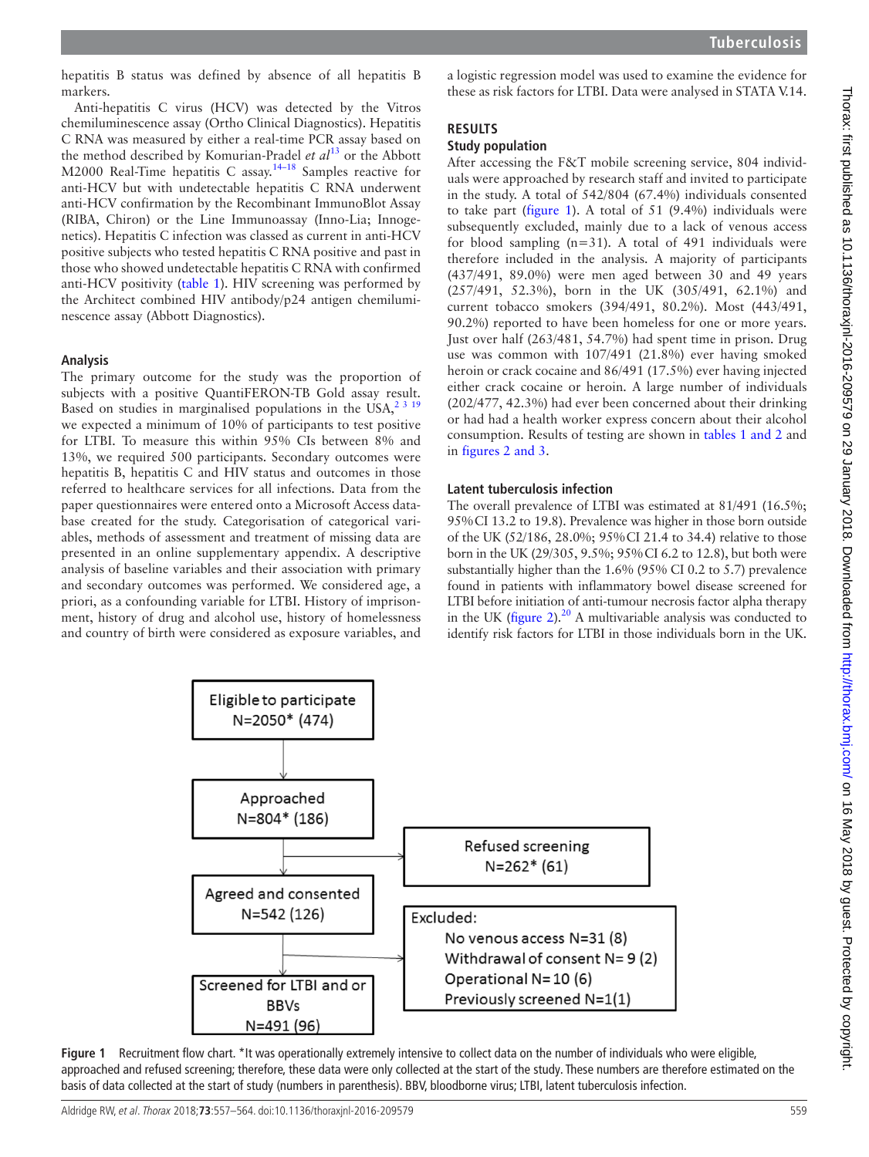hepatitis B status was defined by absence of all hepatitis B markers.

Anti-hepatitis C virus (HCV) was detected by the Vitros chemiluminescence assay (Ortho Clinical Diagnostics). Hepatitis C RNA was measured by either a real-time PCR assay based on the method described by Komurian-Pradel *et al*[13](#page-7-11) or the Abbott M2000 Real-Time hepatitis C assay.<sup>14-18</sup> Samples reactive for anti-HCV but with undetectable hepatitis C RNA underwent anti-HCV confirmation by the Recombinant ImmunoBlot Assay (RIBA, Chiron) or the Line Immunoassay (Inno-Lia; Innogenetics). Hepatitis C infection was classed as current in anti-HCV positive subjects who tested hepatitis C RNA positive and past in those who showed undetectable hepatitis C RNA with confirmed anti-HCV positivity ([table](#page-1-0) 1). HIV screening was performed by the Architect combined HIV antibody/p24 antigen chemiluminescence assay (Abbott Diagnostics).

#### **Analysis**

The primary outcome for the study was the proportion of subjects with a positive QuantiFERON-TB Gold assay result. Based on studies in marginalised populations in the USA, $2319$ we expected a minimum of 10% of participants to test positive for LTBI. To measure this within 95% CIs between 8% and 13%, we required 500 participants. Secondary outcomes were hepatitis B, hepatitis C and HIV status and outcomes in those referred to healthcare services for all infections. Data from the paper questionnaires were entered onto a Microsoft Access database created for the study. Categorisation of categorical variables, methods of assessment and treatment of missing data are presented in an online [supplementary appendix](https://dx.doi.org/10.1136/thoraxjnl-2016-209579). A descriptive analysis of baseline variables and their association with primary and secondary outcomes was performed. We considered age, a priori, as a confounding variable for LTBI. History of imprisonment, history of drug and alcohol use, history of homelessness and country of birth were considered as exposure variables, and a logistic regression model was used to examine the evidence for these as risk factors for LTBI. Data were analysed in STATA V.14.

## **Results**

#### **Study population**

After accessing the F&T mobile screening service, 804 individuals were approached by research staff and invited to participate in the study. A total of 542/804 (67.4%) individuals consented to take part ([figure](#page-2-0) 1). A total of 51 (9.4%) individuals were subsequently excluded, mainly due to a lack of venous access for blood sampling  $(n=31)$ . A total of 491 individuals were therefore included in the analysis. A majority of participants (437/491, 89.0%) were men aged between 30 and 49 years (257/491, 52.3%), born in the UK (305/491, 62.1%) and current tobacco smokers (394/491, 80.2%). Most (443/491, 90.2%) reported to have been homeless for one or more years. Just over half (263/481, 54.7%) had spent time in prison. Drug use was common with 107/491 (21.8%) ever having smoked heroin or crack cocaine and 86/491 (17.5%) ever having injected either crack cocaine or heroin. A large number of individuals (202/477, 42.3%) had ever been concerned about their drinking or had had a health worker express concern about their alcohol consumption. Results of testing are shown in tables [1 and 2](#page-1-0) and in figures [2 and 3](#page-4-0).

## **Latent tuberculosis infection**

The overall prevalence of LTBI was estimated at 81/491 (16.5%; 95%CI 13.2 to 19.8). Prevalence was higher in those born outside of the UK (52/186, 28.0%; 95%CI 21.4 to 34.4) relative to those born in the UK (29/305, 9.5%; 95%CI 6.2 to 12.8), but both were substantially higher than the 1.6% (95% CI 0.2 to 5.7) prevalence found in patients with inflammatory bowel disease screened for LTBI before initiation of anti-tumour necrosis factor alpha therapy in the UK [\(figure](#page-4-0) 2).<sup>20</sup> A multivariable analysis was conducted to identify risk factors for LTBI in those individuals born in the UK.



<span id="page-2-0"></span>**Figure 1** Recruitment flow chart. \*It was operationally extremely intensive to collect data on the number of individuals who were eligible, approached and refused screening; therefore, these data were only collected at the start of the study. These numbers are therefore estimated on the basis of data collected at the start of study (numbers in parenthesis). BBV, bloodborne virus; LTBI, latent tuberculosis infection.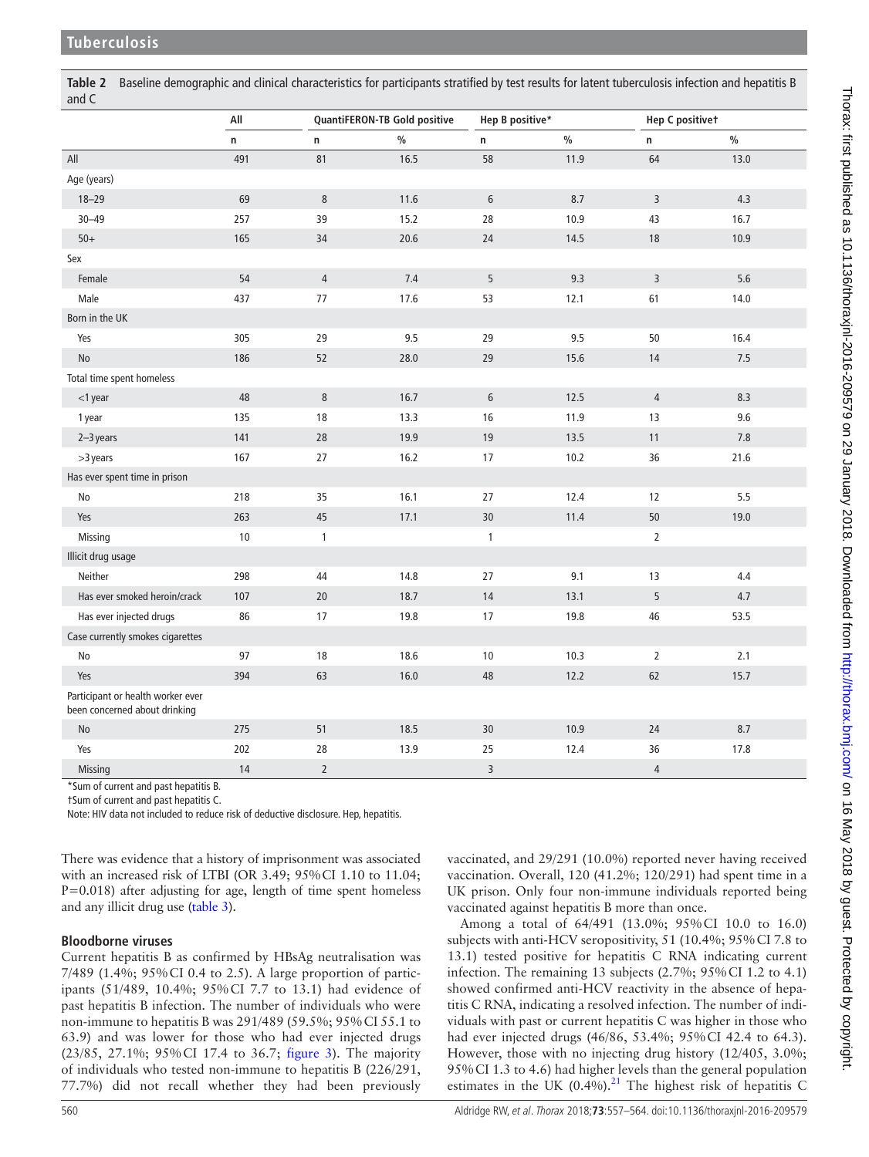| and C                                                              |     |                              |               |                 |               |                        |               |  |
|--------------------------------------------------------------------|-----|------------------------------|---------------|-----------------|---------------|------------------------|---------------|--|
|                                                                    | All | QuantiFERON-TB Gold positive |               | Hep B positive* |               | <b>Hep C positivet</b> |               |  |
|                                                                    | n   | n                            | $\frac{0}{0}$ | n               | $\frac{0}{0}$ | n                      | $\frac{0}{0}$ |  |
| All                                                                | 491 | 81                           | 16.5          | 58              | 11.9          | 64                     | 13.0          |  |
| Age (years)                                                        |     |                              |               |                 |               |                        |               |  |
| $18 - 29$                                                          | 69  | 8                            | 11.6          | $6\,$           | 8.7           | $\overline{3}$         | 4.3           |  |
| $30 - 49$                                                          | 257 | 39                           | 15.2          | 28              | 10.9          | 43                     | 16.7          |  |
| $50+$                                                              | 165 | 34                           | 20.6          | 24              | 14.5          | 18                     | 10.9          |  |
| Sex                                                                |     |                              |               |                 |               |                        |               |  |
| Female                                                             | 54  | $\overline{4}$               | 7.4           | 5               | 9.3           | $\overline{3}$         | 5.6           |  |
| Male                                                               | 437 | 77                           | 17.6          | 53              | 12.1          | 61                     | 14.0          |  |
| Born in the UK                                                     |     |                              |               |                 |               |                        |               |  |
| Yes                                                                | 305 | 29                           | 9.5           | 29              | 9.5           | 50                     | 16.4          |  |
| No                                                                 | 186 | 52                           | 28.0          | 29              | 15.6          | 14                     | 7.5           |  |
| Total time spent homeless                                          |     |                              |               |                 |               |                        |               |  |
| $<$ 1 year                                                         | 48  | $\,8\,$                      | 16.7          | $6\,$           | 12.5          | $\overline{4}$         | 8.3           |  |
| 1 year                                                             | 135 | 18                           | 13.3          | 16              | 11.9          | 13                     | 9.6           |  |
| 2-3 years                                                          | 141 | 28                           | 19.9          | 19              | 13.5          | 11                     | 7.8           |  |
| >3 years                                                           | 167 | 27                           | 16.2          | 17              | 10.2          | 36                     | 21.6          |  |
| Has ever spent time in prison                                      |     |                              |               |                 |               |                        |               |  |
| No                                                                 | 218 | 35                           | 16.1          | 27              | 12.4          | 12                     | 5.5           |  |
| Yes                                                                | 263 | 45                           | 17.1          | $30\,$          | 11.4          | $50\,$                 | 19.0          |  |
| Missing                                                            | 10  | $\mathbf{1}$                 |               | $\mathbf{1}$    |               | $\overline{2}$         |               |  |
| Illicit drug usage                                                 |     |                              |               |                 |               |                        |               |  |
| Neither                                                            | 298 | 44                           | 14.8          | 27              | 9.1           | 13                     | 4.4           |  |
| Has ever smoked heroin/crack                                       | 107 | $20\,$                       | 18.7          | 14              | 13.1          | 5                      | 4.7           |  |
| Has ever injected drugs                                            | 86  | 17                           | 19.8          | 17              | 19.8          | 46                     | 53.5          |  |
| Case currently smokes cigarettes                                   |     |                              |               |                 |               |                        |               |  |
| No                                                                 | 97  | 18                           | 18.6          | 10              | 10.3          | $\overline{2}$         | 2.1           |  |
| Yes                                                                | 394 | 63                           | 16.0          | 48              | 12.2          | 62                     | 15.7          |  |
| Participant or health worker ever<br>been concerned about drinking |     |                              |               |                 |               |                        |               |  |
| No                                                                 | 275 | 51                           | 18.5          | 30              | 10.9          | 24                     | 8.7           |  |
| Yes                                                                | 202 | 28                           | 13.9          | 25              | 12.4          | 36                     | 17.8          |  |
| <b>Missing</b>                                                     | 14  | $\overline{2}$               |               | 3               |               | $\overline{4}$         |               |  |

**Table 2** Baseline demographic and clinical characteristics for participants stratified by test results for latent tuberculosis infection and hepatitis B and C

\*Sum of current and past hepatitis B.

†Sum of current and past hepatitis C.

Note: HIV data not included to reduce risk of deductive disclosure. Hep, hepatitis.

There was evidence that a history of imprisonment was associated with an increased risk of LTBI (OR 3.49; 95%CI 1.10 to 11.04; P=0.018) after adjusting for age, length of time spent homeless and any illicit drug use ([table](#page-5-0) 3).

## **Bloodborne viruses**

Current hepatitis B as confirmed by HBsAg neutralisation was 7/489 (1.4%; 95%CI 0.4 to 2.5). A large proportion of participants (51/489, 10.4%; 95%CI 7.7 to 13.1) had evidence of past hepatitis B infection. The number of individuals who were non-immune to hepatitis B was 291/489 (59.5%; 95%CI 55.1 to 63.9) and was lower for those who had ever injected drugs (23/85, 27.1%; 95%CI 17.4 to 36.7; [figure](#page-4-1) 3). The majority of individuals who tested non-immune to hepatitis B (226/291, 77.7%) did not recall whether they had been previously

vaccinated, and 29/291 (10.0%) reported never having received vaccination. Overall, 120 (41.2%; 120/291) had spent time in a UK prison. Only four non-immune individuals reported being vaccinated against hepatitis B more than once.

Among a total of 64/491 (13.0%; 95%CI 10.0 to 16.0) subjects with anti-HCV seropositivity, 51 (10.4%; 95%CI 7.8 to 13.1) tested positive for hepatitis C RNA indicating current infection. The remaining 13 subjects (2.7%; 95%CI 1.2 to 4.1) showed confirmed anti-HCV reactivity in the absence of hepatitis C RNA, indicating a resolved infection. The number of individuals with past or current hepatitis C was higher in those who had ever injected drugs (46/86, 53.4%; 95%CI 42.4 to 64.3). However, those with no injecting drug history (12/405, 3.0%; 95%CI 1.3 to 4.6) had higher levels than the general population estimates in the UK  $(0.4\%)$ .<sup>21</sup> The highest risk of hepatitis C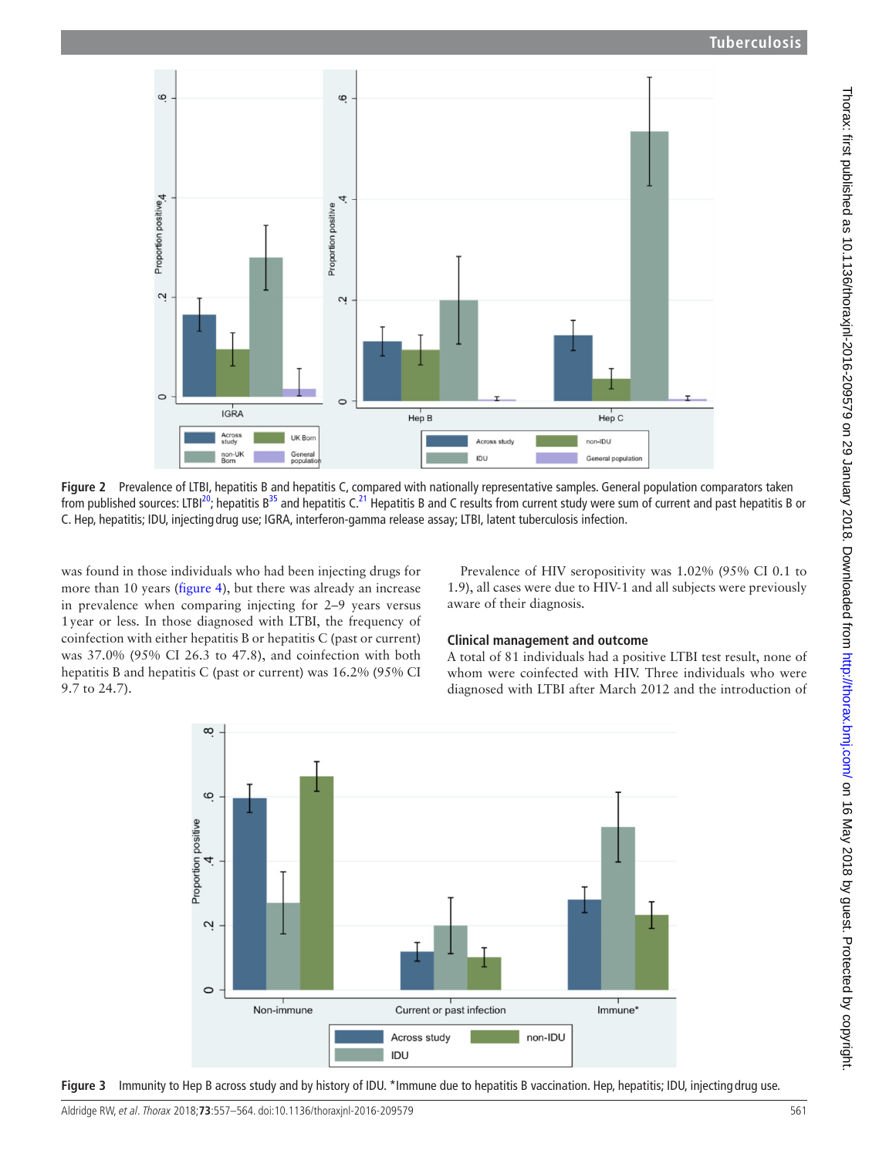

<span id="page-4-0"></span>**Figure 2** Prevalence of LTBI, hepatitis B and hepatitis C, compared with nationally representative samples. General population comparators taken from published sources: LTBI<sup>[20](#page-7-13)</sup>; hepatitis B<sup>[35](#page-7-15)</sup> and hepatitis C.<sup>21</sup> Hepatitis B and C results from current study were sum of current and past hepatitis B or C. Hep, hepatitis; IDU, injecting drug use; IGRA, interferon-gamma release assay; LTBI, latent tuberculosis infection.

was found in those individuals who had been injecting drugs for more than 10 years [\(figure](#page-5-1) 4), but there was already an increase in prevalence when comparing injecting for 2–9 years versus 1year or less. In those diagnosed with LTBI, the frequency of coinfection with either hepatitis B or hepatitis C (past or current) was 37.0% (95% CI 26.3 to 47.8), and coinfection with both hepatitis B and hepatitis C (past or current) was 16.2% (95% CI 9.7 to 24.7).

Prevalence of HIV seropositivity was 1.02% (95% CI 0.1 to 1.9), all cases were due to HIV-1 and all subjects were previously aware of their diagnosis.

## **Clinical management and outcome**

A total of 81 individuals had a positive LTBI test result, none of whom were coinfected with HIV. Three individuals who were diagnosed with LTBI after March 2012 and the introduction of



<span id="page-4-1"></span>**Figure 3** Immunity to Hep B across study and by history of IDU. \*Immune due to hepatitis B vaccination. Hep, hepatitis; IDU, injecting drug use.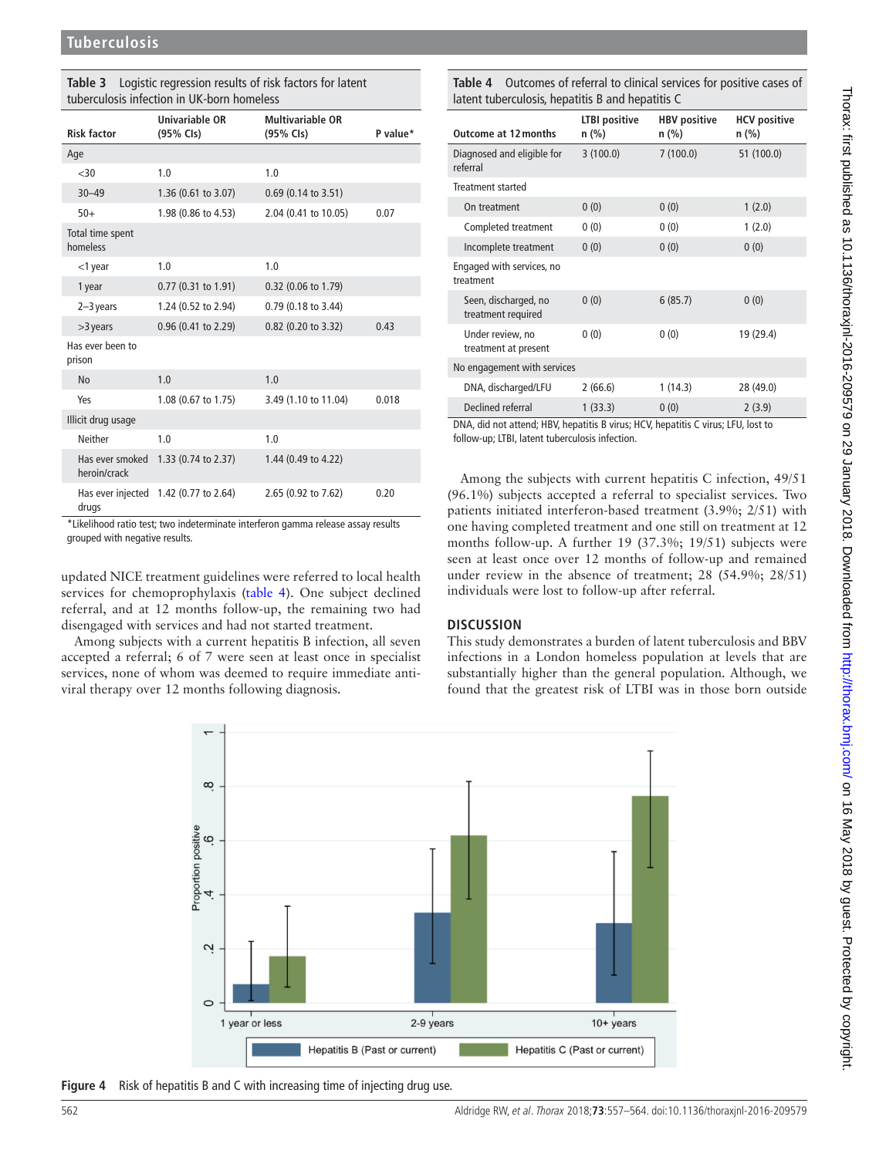<span id="page-5-0"></span>

| <b>Table 3</b> Logistic regression results of risk factors for latent |
|-----------------------------------------------------------------------|
| tuberculosis infection in UK-born homeless                            |

| <b>Risk factor</b>              | Univariable OR<br>(95% Cls) | <b>Multivariable OR</b><br>(95% Cls) | P value* |
|---------------------------------|-----------------------------|--------------------------------------|----------|
| Age                             |                             |                                      |          |
| $30$                            | 1.0                         | 1.0                                  |          |
| $30 - 49$                       | 1.36 (0.61 to 3.07)         | 0.69 (0.14 to 3.51)                  |          |
| $50+$                           | 1.98 (0.86 to 4.53)         | 2.04 (0.41 to 10.05)                 | 0.07     |
| Total time spent<br>homeless    |                             |                                      |          |
| $<$ 1 year                      | 1.0                         | 1.0                                  |          |
| 1 year                          | 0.77 (0.31 to 1.91)         | 0.32 (0.06 to 1.79)                  |          |
| $2-3$ years                     | 1.24 (0.52 to 2.94)         | 0.79 (0.18 to 3.44)                  |          |
| $>3$ years                      | 0.96 (0.41 to 2.29)         | 0.82 (0.20 to 3.32)                  | 0.43     |
| Has ever been to<br>prison      |                             |                                      |          |
| <b>No</b>                       | 1.0                         | 1.0                                  |          |
| Yes                             | 1.08 (0.67 to 1.75)         | 3.49 (1.10 to 11.04)                 | 0.018    |
| Illicit drug usage              |                             |                                      |          |
| Neither                         | 1.0                         | 1.0                                  |          |
| Has ever smoked<br>heroin/crack | 1.33 (0.74 to 2.37)         | 1.44 (0.49 to 4.22)                  |          |
| Has ever injected<br>drugs      | 1.42 (0.77 to 2.64)         | 2.65 (0.92 to 7.62)                  | 0.20     |

\*Likelihood ratio test; two indeterminate interferon gamma release assay results grouped with negative results.

updated NICE treatment guidelines were referred to local health services for chemoprophylaxis ([table](#page-5-2) 4). One subject declined referral, and at 12 months follow-up, the remaining two had disengaged with services and had not started treatment.

Among subjects with a current hepatitis B infection, all seven accepted a referral; 6 of 7 were seen at least once in specialist services, none of whom was deemed to require immediate antiviral therapy over 12 months following diagnosis.

<span id="page-5-2"></span>**Table 4** Outcomes of referral to clinical services for positive cases of latent tuberculosis, hepatitis B and hepatitis C

| <b>Outcome at 12 months</b>                | LTBI positive<br>n (%) | <b>HBV</b> positive<br>$n$ (%) | <b>HCV</b> positive<br>$n$ (%) |
|--------------------------------------------|------------------------|--------------------------------|--------------------------------|
| Diagnosed and eligible for<br>referral     | 3(100.0)               | 7(100.0)                       | 51 (100.0)                     |
| Treatment started                          |                        |                                |                                |
| On treatment                               | 0(0)                   | 0(0)                           | 1(2.0)                         |
| Completed treatment                        | 0(0)                   | 0(0)                           | 1(2.0)                         |
| Incomplete treatment                       | 0(0)                   | 0(0)                           | 0(0)                           |
| Engaged with services, no<br>treatment     |                        |                                |                                |
| Seen, discharged, no<br>treatment required | 0(0)                   | 6(85.7)                        | 0(0)                           |
| Under review, no<br>treatment at present   | 0(0)                   | 0(0)                           | 19 (29.4)                      |
| No engagement with services                |                        |                                |                                |
| DNA, discharged/LFU                        | 2(66.6)                | 1(14.3)                        | 28 (49.0)                      |
| Declined referral                          | 1(33.3)                | 0(0)                           | 2(3.9)                         |
|                                            |                        |                                |                                |

DNA, did not attend; HBV, hepatitis B virus; HCV, hepatitis C virus; LFU, lost to follow-up; LTBI, latent tuberculosis infection.

Among the subjects with current hepatitis C infection, 49/51 (96.1%) subjects accepted a referral to specialist services. Two patients initiated interferon-based treatment (3.9%; 2/51) with one having completed treatment and one still on treatment at 12 months follow-up. A further 19 (37.3%; 19/51) subjects were seen at least once over 12 months of follow-up and remained under review in the absence of treatment; 28 (54.9%; 28/51) individuals were lost to follow-up after referral.

## **Discussion**

This study demonstrates a burden of latent tuberculosis and BBV infections in a London homeless population at levels that are substantially higher than the general population. Although, we found that the greatest risk of LTBI was in those born outside



<span id="page-5-1"></span>**Figure 4** Risk of hepatitis B and C with increasing time of injecting drug use.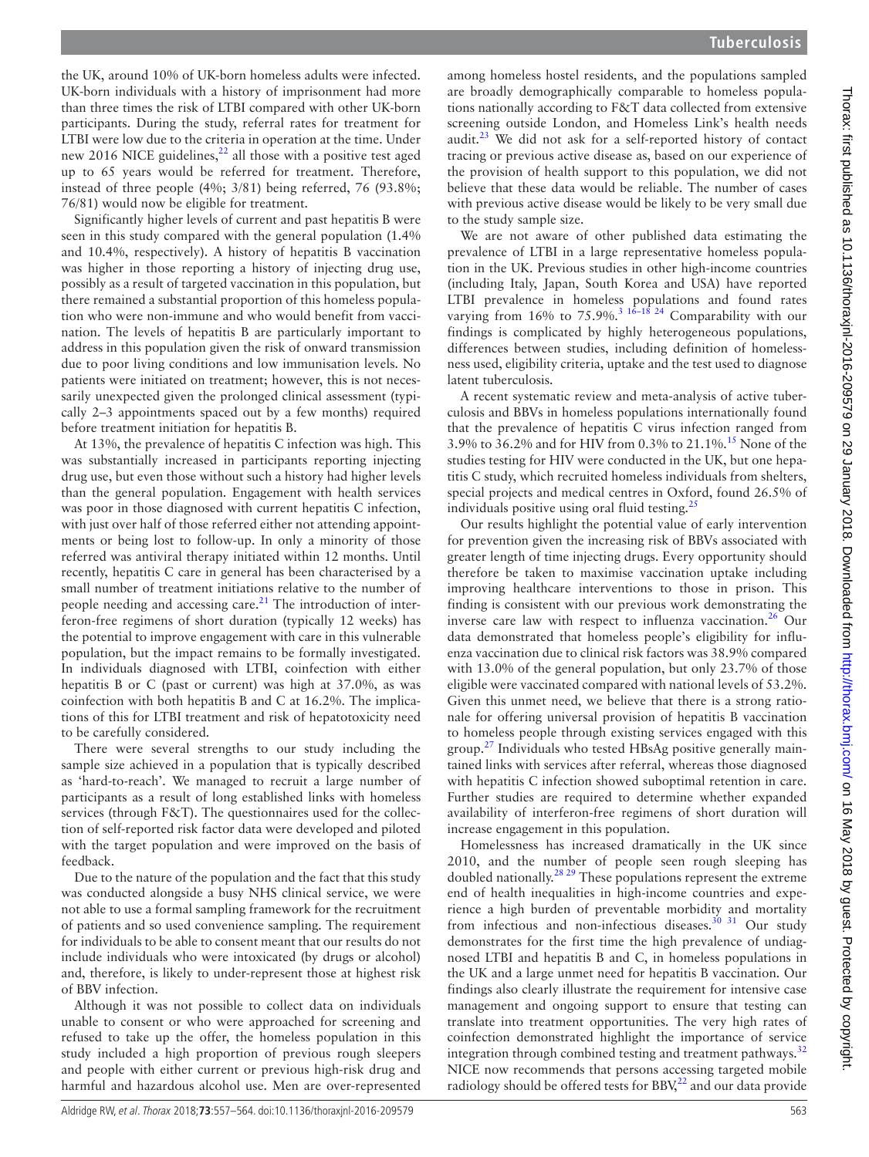the UK, around 10% of UK-born homeless adults were infected. UK-born individuals with a history of imprisonment had more than three times the risk of LTBI compared with other UK-born participants. During the study, referral rates for treatment for LTBI were low due to the criteria in operation at the time. Under new 2016 NICE guidelines, $^{22}$  all those with a positive test aged up to 65 years would be referred for treatment. Therefore, instead of three people (4%; 3/81) being referred, 76 (93.8%; 76/81) would now be eligible for treatment.

Significantly higher levels of current and past hepatitis B were seen in this study compared with the general population (1.4% and 10.4%, respectively). A history of hepatitis B vaccination was higher in those reporting a history of injecting drug use, possibly as a result of targeted vaccination in this population, but there remained a substantial proportion of this homeless population who were non-immune and who would benefit from vaccination. The levels of hepatitis B are particularly important to address in this population given the risk of onward transmission due to poor living conditions and low immunisation levels. No patients were initiated on treatment; however, this is not necessarily unexpected given the prolonged clinical assessment (typically 2–3 appointments spaced out by a few months) required before treatment initiation for hepatitis B.

At 13%, the prevalence of hepatitis C infection was high. This was substantially increased in participants reporting injecting drug use, but even those without such a history had higher levels than the general population. Engagement with health services was poor in those diagnosed with current hepatitis C infection, with just over half of those referred either not attending appointments or being lost to follow-up. In only a minority of those referred was antiviral therapy initiated within 12 months. Until recently, hepatitis C care in general has been characterised by a small number of treatment initiations relative to the number of people needing and accessing care. $^{21}$  $^{21}$  $^{21}$  The introduction of interferon-free regimens of short duration (typically 12 weeks) has the potential to improve engagement with care in this vulnerable population, but the impact remains to be formally investigated. In individuals diagnosed with LTBI, coinfection with either hepatitis B or C (past or current) was high at 37.0%, as was coinfection with both hepatitis B and C at 16.2%. The implications of this for LTBI treatment and risk of hepatotoxicity need to be carefully considered.

There were several strengths to our study including the sample size achieved in a population that is typically described as 'hard-to-reach'. We managed to recruit a large number of participants as a result of long established links with homeless services (through F&T). The questionnaires used for the collection of self-reported risk factor data were developed and piloted with the target population and were improved on the basis of feedback.

Due to the nature of the population and the fact that this study was conducted alongside a busy NHS clinical service, we were not able to use a formal sampling framework for the recruitment of patients and so used convenience sampling. The requirement for individuals to be able to consent meant that our results do not include individuals who were intoxicated (by drugs or alcohol) and, therefore, is likely to under-represent those at highest risk of BBV infection.

Although it was not possible to collect data on individuals unable to consent or who were approached for screening and refused to take up the offer, the homeless population in this study included a high proportion of previous rough sleepers and people with either current or previous high-risk drug and harmful and hazardous alcohol use. Men are over-represented

among homeless hostel residents, and the populations sampled are broadly demographically comparable to homeless populations nationally according to F&T data collected from extensive screening outside London, and Homeless Link's health needs audit. $^{23}$  $^{23}$  $^{23}$  We did not ask for a self-reported history of contact tracing or previous active disease as, based on our experience of the provision of health support to this population, we did not believe that these data would be reliable. The number of cases with previous active disease would be likely to be very small due to the study sample size.

We are not aware of other published data estimating the prevalence of LTBI in a large representative homeless population in the UK. Previous studies in other high-income countries (including Italy, Japan, South Korea and USA) have reported LTBI prevalence in homeless populations and found rates varying from  $16\%$  to  $75.9\%$ .<sup>[3 16–18 24](#page-7-18)</sup> Comparability with our findings is complicated by highly heterogeneous populations, differences between studies, including definition of homelessness used, eligibility criteria, uptake and the test used to diagnose latent tuberculosis.

A recent systematic review and meta-analysis of active tuberculosis and BBVs in homeless populations internationally found that the prevalence of hepatitis C virus infection ranged from 3.9% to 36.2% and for HIV from 0.3% to 21.1%.<sup>[15](#page-7-19)</sup> None of the studies testing for HIV were conducted in the UK, but one hepatitis C study, which recruited homeless individuals from shelters, special projects and medical centres in Oxford, found 26.5% of individuals positive using oral fluid testing. $^{25}$ 

Our results highlight the potential value of early intervention for prevention given the increasing risk of BBVs associated with greater length of time injecting drugs. Every opportunity should therefore be taken to maximise vaccination uptake including improving healthcare interventions to those in prison. This finding is consistent with our previous work demonstrating the inverse care law with respect to influenza vaccination.<sup>[26](#page-7-21)</sup> Our data demonstrated that homeless people's eligibility for influenza vaccination due to clinical risk factors was 38.9% compared with 13.0% of the general population, but only 23.7% of those eligible were vaccinated compared with national levels of 53.2%. Given this unmet need, we believe that there is a strong rationale for offering universal provision of hepatitis B vaccination to homeless people through existing services engaged with this group.<sup>27</sup> Individuals who tested HBsAg positive generally maintained links with services after referral, whereas those diagnosed with hepatitis C infection showed suboptimal retention in care. Further studies are required to determine whether expanded availability of interferon-free regimens of short duration will increase engagement in this population.

Homelessness has increased dramatically in the UK since 2010, and the number of people seen rough sleeping has doubled nationally.<sup>28,29</sup> These populations represent the extreme end of health inequalities in high-income countries and experience a high burden of preventable morbidity and mortality from infectious and non-infectious diseases.<sup>30</sup> <sup>31</sup> Our study demonstrates for the first time the high prevalence of undiagnosed LTBI and hepatitis B and C, in homeless populations in the UK and a large unmet need for hepatitis B vaccination. Our findings also clearly illustrate the requirement for intensive case management and ongoing support to ensure that testing can translate into treatment opportunities. The very high rates of coinfection demonstrated highlight the importance of service integration through combined testing and treatment pathways.<sup>[32](#page-7-25)</sup> NICE now recommends that persons accessing targeted mobile radiology should be offered tests for BBV, $^{22}$  $^{22}$  $^{22}$  and our data provide